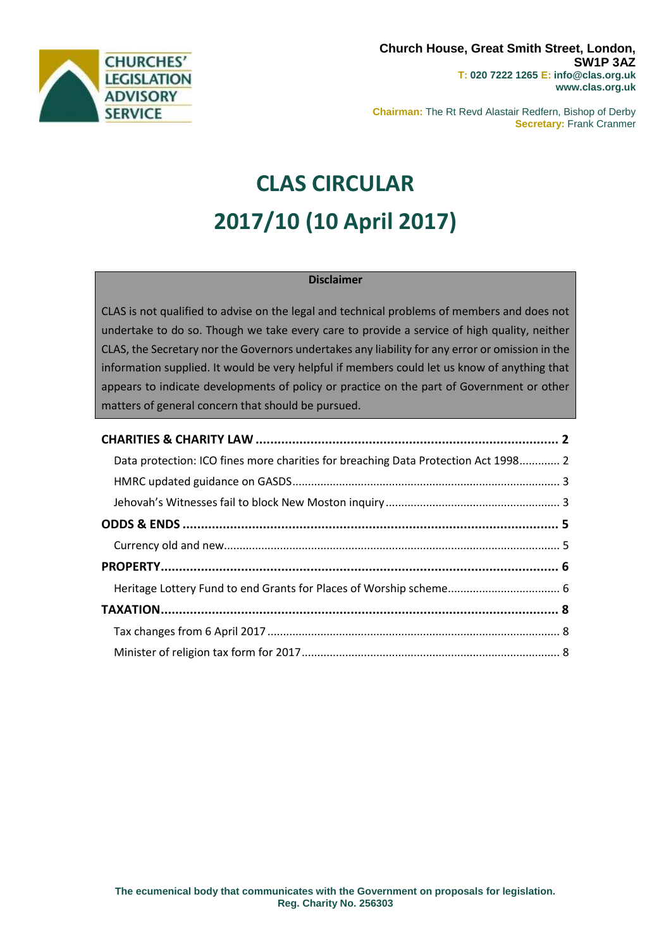

**Chairman:** The Rt Revd Alastair Redfern, Bishop of Derby **Secretary:** Frank Cranmer

# **CLAS CIRCULAR 2017/10 (10 April 2017)**

## **Disclaimer**

CLAS is not qualified to advise on the legal and technical problems of members and does not undertake to do so. Though we take every care to provide a service of high quality, neither CLAS, the Secretary nor the Governors undertakes any liability for any error or omission in the information supplied. It would be very helpful if members could let us know of anything that appears to indicate developments of policy or practice on the part of Government or other matters of general concern that should be pursued.

| Data protection: ICO fines more charities for breaching Data Protection Act 1998 2 |  |
|------------------------------------------------------------------------------------|--|
|                                                                                    |  |
|                                                                                    |  |
|                                                                                    |  |
|                                                                                    |  |
|                                                                                    |  |
|                                                                                    |  |
|                                                                                    |  |
|                                                                                    |  |
|                                                                                    |  |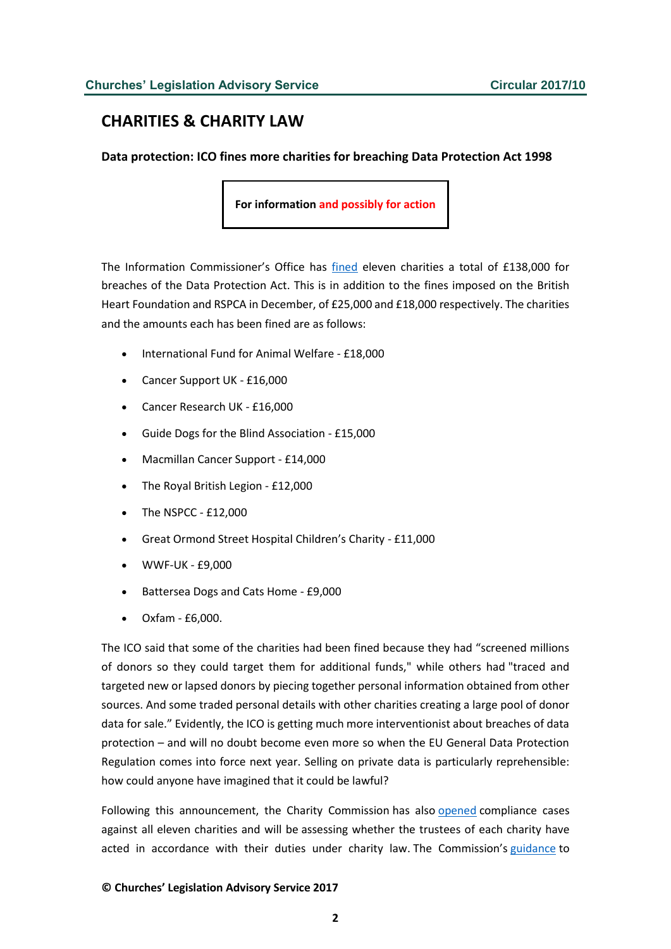# <span id="page-1-0"></span>**CHARITIES & CHARITY LAW**

<span id="page-1-1"></span>**Data protection: ICO fines more charities for breaching Data Protection Act 1998**

**For information and possibly for action**

The Information Commissioner's Office has [fined](https://ico.org.uk/about-the-ico/news-and-events/news-and-blogs/2017/04/ico-fines-eleven-more-charities/) eleven charities a total of £138,000 for breaches of the Data Protection Act. This is in addition to the fines imposed on the British Heart Foundation and RSPCA in December, of £25,000 and £18,000 respectively. The charities and the amounts each has been fined are as follows:

- International Fund for Animal Welfare £18,000
- Cancer Support UK £16,000
- Cancer Research UK £16,000
- Guide Dogs for the Blind Association £15,000
- Macmillan Cancer Support £14,000
- The Royal British Legion £12,000
- The NSPCC £12,000
- Great Ormond Street Hospital Children's Charity £11,000
- WWF-UK £9,000
- Battersea Dogs and Cats Home £9,000
- Oxfam £6,000.

The ICO said that some of the charities had been fined because they had "screened millions of donors so they could target them for additional funds," while others had "traced and targeted new or lapsed donors by piecing together personal information obtained from other sources. And some traded personal details with other charities creating a large pool of donor data for sale." Evidently, the ICO is getting much more interventionist about breaches of data protection – and will no doubt become even more so when the EU General Data Protection Regulation comes into force next year. Selling on private data is particularly reprehensible: how could anyone have imagined that it could be lawful?

Following this announcement, the Charity Commission has also [opened](http://www.gov.uk/government/news/charity-commission-responds-to-ico-issuing-penalties-to-11-charities) compliance cases against all eleven charities and will be assessing whether the trustees of each charity have acted in accordance with their duties under charity law. The Commission's [guidance](http://www.gov.uk/government/publications/charities-and-fundraising-cc20) to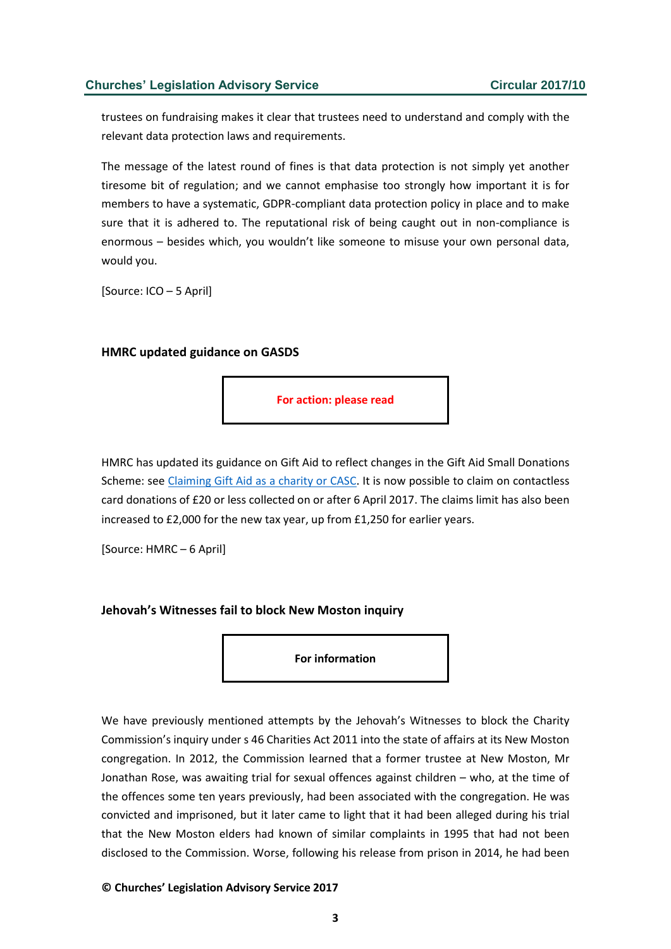### **Churches' Legislation Advisory Service Circular 2017/10**

trustees on fundraising makes it clear that trustees need to understand and comply with the relevant data protection laws and requirements.

The message of the latest round of fines is that data protection is not simply yet another tiresome bit of regulation; and we cannot emphasise too strongly how important it is for members to have a systematic, GDPR-compliant data protection policy in place and to make sure that it is adhered to. The reputational risk of being caught out in non-compliance is enormous – besides which, you wouldn't like someone to misuse your own personal data, would you.

[Source: ICO – 5 April]

#### <span id="page-2-0"></span>**HMRC updated guidance on GASDS**

**For action: please read**

HMRC has updated its guidance on Gift Aid to reflect changes in the Gift Aid Small Donations Scheme: see [Claiming Gift Aid as a charity or CASC.](https://www.gov.uk/claim-gift-aid/small-donations-scheme) It is now possible to claim on contactless card donations of £20 or less collected on or after 6 April 2017. The claims limit has also been increased to £2,000 for the new tax year, up from £1,250 for earlier years.

[Source: HMRC – 6 April]

#### <span id="page-2-1"></span>**Jehovah's Witnesses fail to block New Moston inquiry**

**For information**

We have previously mentioned attempts by the Jehovah's Witnesses to block the Charity Commission's inquiry under s 46 Charities Act 2011 into the state of affairs at its New Moston congregation. In 2012, the Commission learned that a former trustee at New Moston, Mr Jonathan Rose, was awaiting trial for sexual offences against children – who, at the time of the offences some ten years previously, had been associated with the congregation. He was convicted and imprisoned, but it later came to light that it had been alleged during his trial that the New Moston elders had known of similar complaints in 1995 that had not been disclosed to the Commission. Worse, following his release from prison in 2014, he had been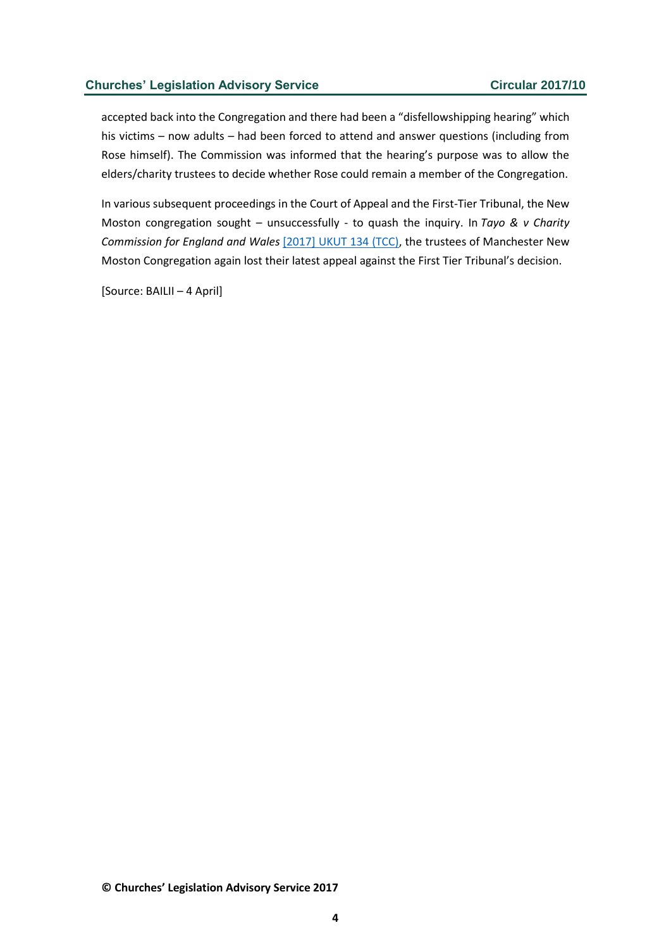### **Churches' Legislation Advisory Service Circular 2017/10**

accepted back into the Congregation and there had been a "disfellowshipping hearing" which his victims – now adults – had been forced to attend and answer questions (including from Rose himself). The Commission was informed that the hearing's purpose was to allow the elders/charity trustees to decide whether Rose could remain a member of the Congregation.

In various subsequent proceedings in the Court of Appeal and the First-Tier Tribunal, the New Moston congregation sought – unsuccessfully - to quash the inquiry. In *Tayo & v Charity Commission for England and Wales* [\[2017\] UKUT 134 \(TCC\),](http://www.bailii.org/uk/cases/UKUT/TCC/2017/134.pdf) the trustees of Manchester New Moston Congregation again lost their latest appeal against the First Tier Tribunal's decision.

[Source: BAILII – 4 April]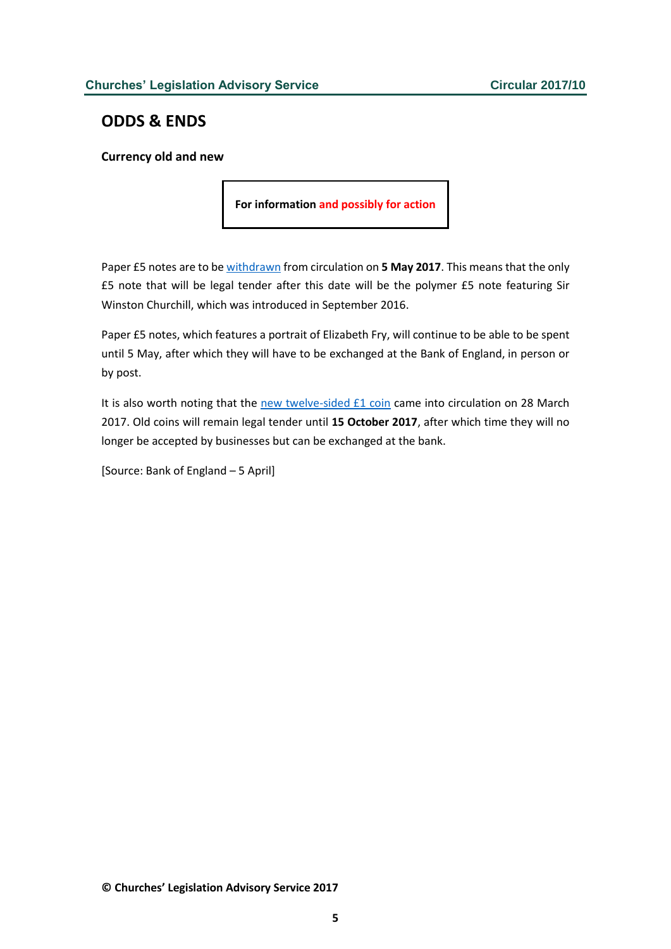## <span id="page-4-0"></span>**ODDS & ENDS**

<span id="page-4-1"></span>**Currency old and new**

**For information and possibly for action**

Paper £5 notes are to be [withdrawn](http://www.bankofengland.co.uk/banknotes/Pages/withdrawn/default.aspx) from circulation on **5 May 2017**. This means that the only £5 note that will be legal tender after this date will be the polymer £5 note featuring Sir Winston Churchill, which was introduced in September 2016.

Paper £5 notes, which features a portrait of Elizabeth Fry, will continue to be able to be spent until 5 May, after which they will have to be exchanged at the Bank of England, in person or by post.

It is also worth noting that the [new twelve-sided £1 coin](https://www.thenewpoundcoin.com/) came into circulation on 28 March 2017. Old coins will remain legal tender until **15 October 2017**, after which time they will no longer be accepted by businesses but can be exchanged at the bank.

[Source: Bank of England – 5 April]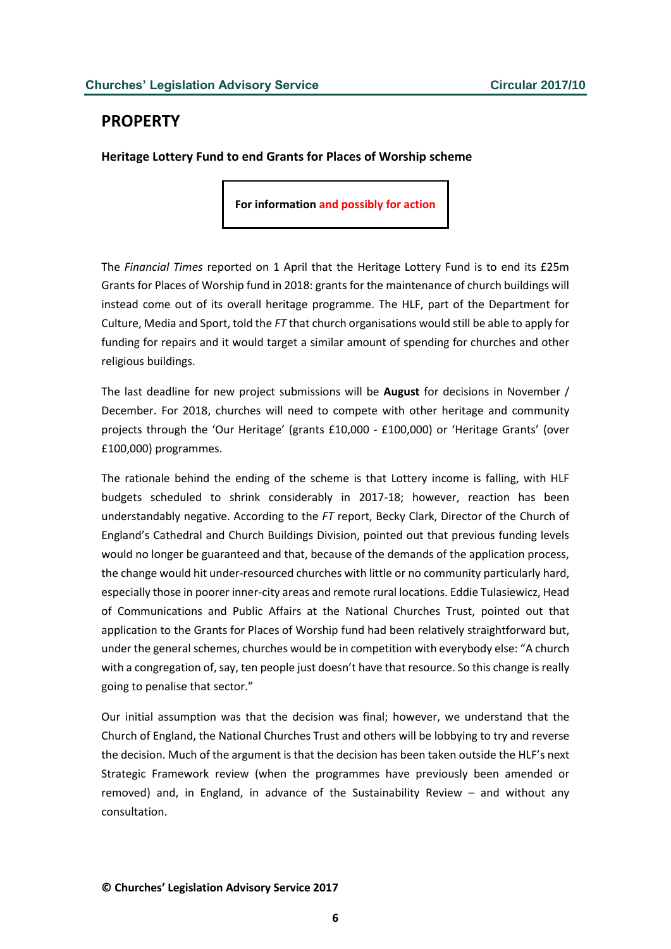## <span id="page-5-0"></span>**PROPERTY**

<span id="page-5-1"></span>**Heritage Lottery Fund to end Grants for Places of Worship scheme**

**For information and possibly for action**

The *Financial Times* reported on 1 April that the Heritage Lottery Fund is to end its £25m Grants for Places of Worship fund in 2018: grants for the maintenance of church buildings will instead come out of its overall heritage programme. The HLF, part of the Department for Culture, Media and Sport, told the *FT* that church organisations would still be able to apply for funding for repairs and it would target a similar amount of spending for churches and other religious buildings.

The last deadline for new project submissions will be **August** for decisions in November / December. For 2018, churches will need to compete with other heritage and community projects through the 'Our Heritage' (grants £10,000 - £100,000) or 'Heritage Grants' (over £100,000) programmes.

The rationale behind the ending of the scheme is that Lottery income is falling, with HLF budgets scheduled to shrink considerably in 2017-18; however, reaction has been understandably negative. According to the *FT* report, Becky Clark, Director of the Church of England's Cathedral and Church Buildings Division, pointed out that previous funding levels would no longer be guaranteed and that, because of the demands of the application process, the change would hit under-resourced churches with little or no community particularly hard, especially those in poorer inner-city areas and remote rural locations. Eddie Tulasiewicz, Head of Communications and Public Affairs at the National Churches Trust, pointed out that application to the Grants for Places of Worship fund had been relatively straightforward but, under the general schemes, churches would be in competition with everybody else: "A church with a congregation of, say, ten people just doesn't have that resource. So this change is really going to penalise that sector."

Our initial assumption was that the decision was final; however, we understand that the Church of England, the National Churches Trust and others will be lobbying to try and reverse the decision. Much of the argument is that the decision has been taken outside the HLF's next Strategic Framework review (when the programmes have previously been amended or removed) and, in England, in advance of the Sustainability Review – and without any consultation.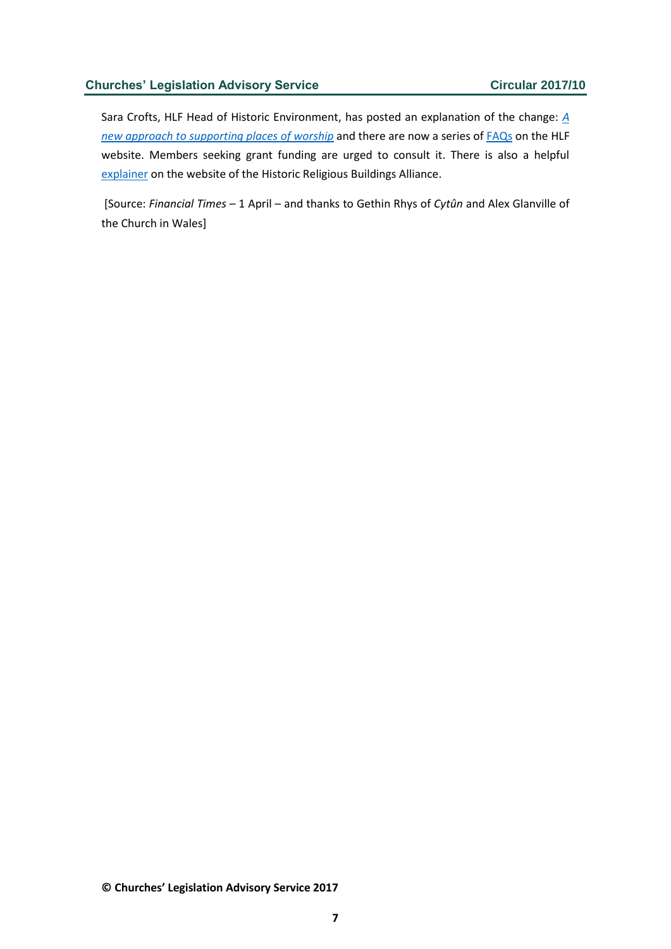#### **Churches' Legislation Advisory Service <b>Circular 2017/10**

Sara Crofts, HLF Head of Historic Environment, has posted an explanation of the change: *[A](https://www.hlf.org.uk/about-us/news-features/new-approach-supporting-places-worship)  [new approach to supporting places of worship](https://www.hlf.org.uk/about-us/news-features/new-approach-supporting-places-worship)* and there are now a series o[f FAQs](https://www.hlf.org.uk/community/general-discussions-forum/new-approach-funding-places-worship) on the HLF website. Members seeking grant funding are urged to consult it. There is also a helpful [explainer](http://www.hrballiance.org.uk/consultations-2/hlf-closure-of-gpow/) on the website of the Historic Religious Buildings Alliance.

[Source: *Financial Times* – 1 April – and thanks to Gethin Rhys of *Cytûn* and Alex Glanville of the Church in Wales]